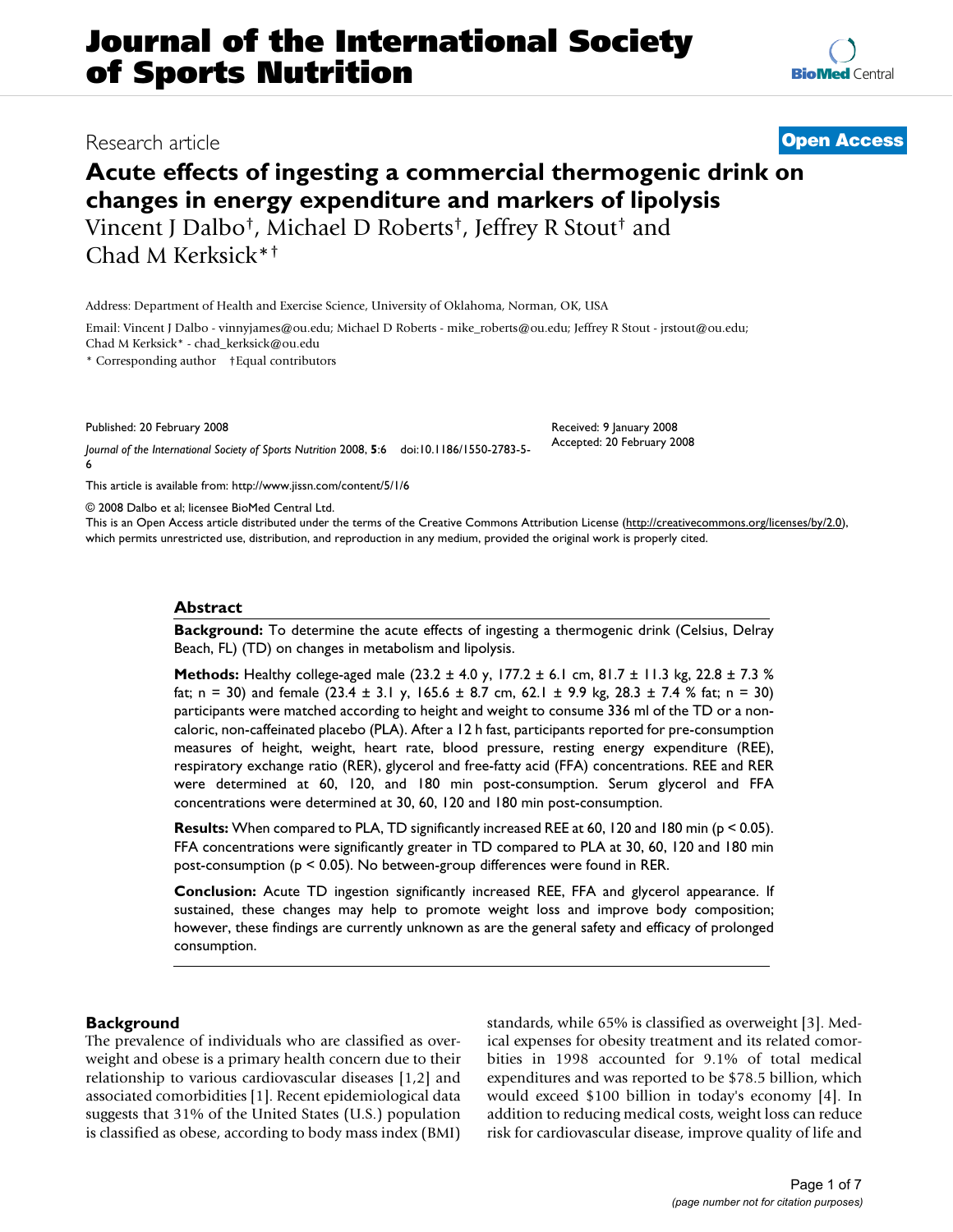# **Journal of the International Society of Sports Nutrition**

## Research article **[Open Access](http://www.biomedcentral.com/info/about/charter/)**

Address: Department of Health and Exercise Science, University of Oklahoma, Norman, OK, USA

Email: Vincent J Dalbo - vinnyjames@ou.edu; Michael D Roberts - mike\_roberts@ou.edu; Jeffrey R Stout - jrstout@ou.edu; Chad M Kerksick\* - chad\_kerksick@ou.edu

\* Corresponding author †Equal contributors

Published: 20 February 2008

*Journal of the International Society of Sports Nutrition* 2008, **5**:6 doi:10.1186/1550-2783-5- 6

[This article is available from: http://www.jissn.com/content/5/1/6](http://www.jissn.com/content/5/1/6)

© 2008 Dalbo et al; licensee BioMed Central Ltd.

This is an Open Access article distributed under the terms of the Creative Commons Attribution License [\(http://creativecommons.org/licenses/by/2.0\)](http://creativecommons.org/licenses/by/2.0), which permits unrestricted use, distribution, and reproduction in any medium, provided the original work is properly cited.

#### **Abstract**

**Background:** To determine the acute effects of ingesting a thermogenic drink (Celsius, Delray Beach, FL) (TD) on changes in metabolism and lipolysis.

**Methods:** Healthy college-aged male (23.2 ± 4.0 y, 177.2 ± 6.1 cm, 81.7 ± 11.3 kg, 22.8 ± 7.3 % fat; n = 30) and female  $(23.4 \pm 3.1 \text{ y}, 165.6 \pm 8.7 \text{ cm}, 62.1 \pm 9.9 \text{ kg}, 28.3 \pm 7.4 \% \text{ fat}; n = 30)$ participants were matched according to height and weight to consume 336 ml of the TD or a noncaloric, non-caffeinated placebo (PLA). After a 12 h fast, participants reported for pre-consumption measures of height, weight, heart rate, blood pressure, resting energy expenditure (REE), respiratory exchange ratio (RER), glycerol and free-fatty acid (FFA) concentrations. REE and RER were determined at 60, 120, and 180 min post-consumption. Serum glycerol and FFA concentrations were determined at 30, 60, 120 and 180 min post-consumption.

**Results:** When compared to PLA, TD significantly increased REE at 60, 120 and 180 min (p < 0.05). FFA concentrations were significantly greater in TD compared to PLA at 30, 60, 120 and 180 min post-consumption (p < 0.05). No between-group differences were found in RER.

**Conclusion:** Acute TD ingestion significantly increased REE, FFA and glycerol appearance. If sustained, these changes may help to promote weight loss and improve body composition; however, these findings are currently unknown as are the general safety and efficacy of prolonged consumption.

### **Background**

The prevalence of individuals who are classified as overweight and obese is a primary health concern due to their relationship to various cardiovascular diseases [1,2] and associated comorbidities [1]. Recent epidemiological data suggests that 31% of the United States (U.S.) population is classified as obese, according to body mass index (BMI) standards, while 65% is classified as overweight [3]. Medical expenses for obesity treatment and its related comorbities in 1998 accounted for 9.1% of total medical expenditures and was reported to be \$78.5 billion, which would exceed \$100 billion in today's economy [4]. In addition to reducing medical costs, weight loss can reduce risk for cardiovascular disease, improve quality of life and

Received: 9 January 2008 Accepted: 20 February 2008

**Acute effects of ingesting a commercial thermogenic drink on changes in energy expenditure and markers of lipolysis** Vincent J Dalbo†, Michael D Roberts†, Jeffrey R Stout† and Chad M Kerksick\*†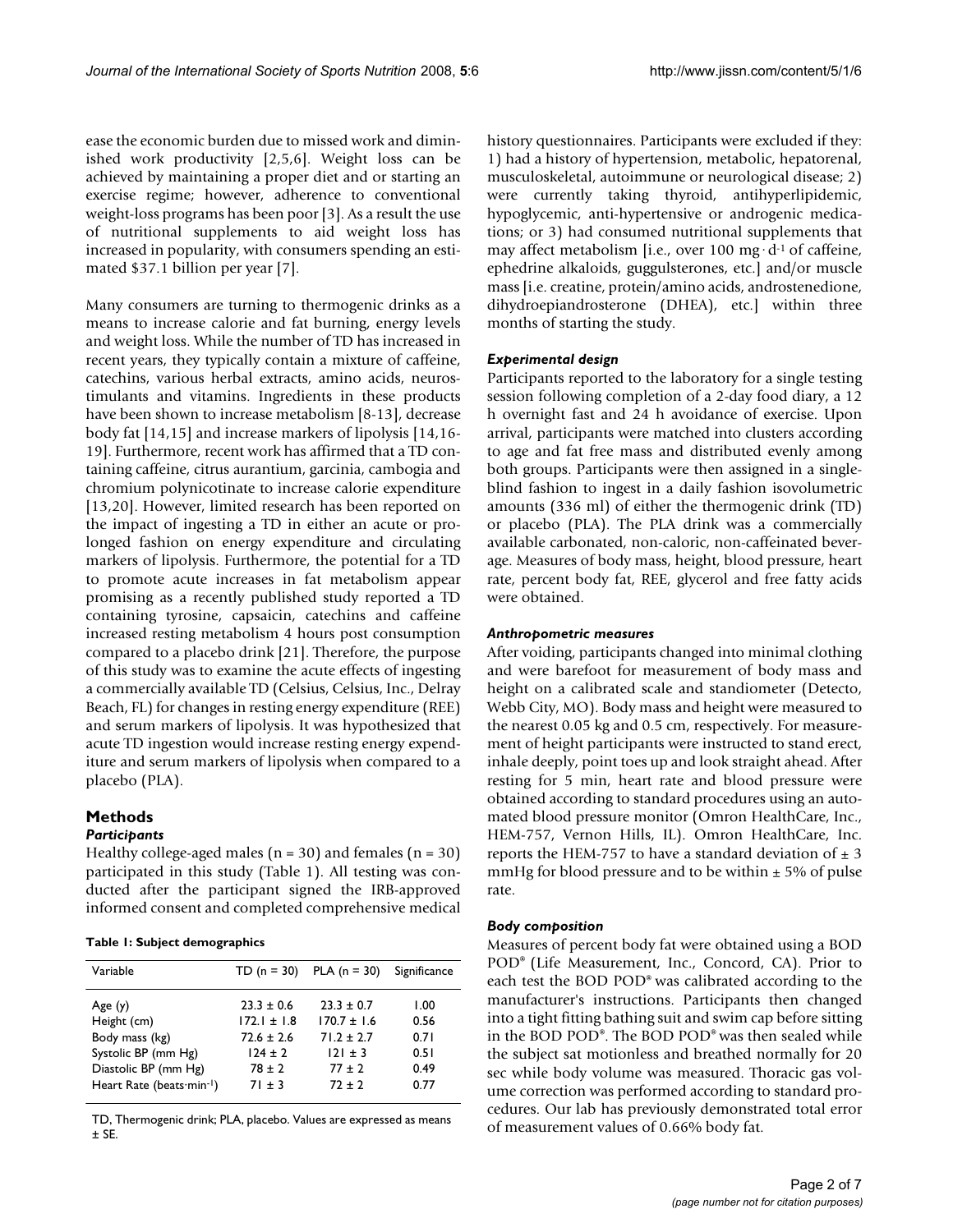ease the economic burden due to missed work and diminished work productivity [2,5,6]. Weight loss can be achieved by maintaining a proper diet and or starting an exercise regime; however, adherence to conventional weight-loss programs has been poor [3]. As a result the use of nutritional supplements to aid weight loss has increased in popularity, with consumers spending an estimated \$37.1 billion per year [7].

Many consumers are turning to thermogenic drinks as a means to increase calorie and fat burning, energy levels and weight loss. While the number of TD has increased in recent years, they typically contain a mixture of caffeine, catechins, various herbal extracts, amino acids, neurostimulants and vitamins. Ingredients in these products have been shown to increase metabolism [8-13], decrease body fat [14,15] and increase markers of lipolysis [14,16- 19]. Furthermore, recent work has affirmed that a TD containing caffeine, citrus aurantium, garcinia, cambogia and chromium polynicotinate to increase calorie expenditure [13,20]. However, limited research has been reported on the impact of ingesting a TD in either an acute or prolonged fashion on energy expenditure and circulating markers of lipolysis. Furthermore, the potential for a TD to promote acute increases in fat metabolism appear promising as a recently published study reported a TD containing tyrosine, capsaicin, catechins and caffeine increased resting metabolism 4 hours post consumption compared to a placebo drink [21]. Therefore, the purpose of this study was to examine the acute effects of ingesting a commercially available TD (Celsius, Celsius, Inc., Delray Beach, FL) for changes in resting energy expenditure (REE) and serum markers of lipolysis. It was hypothesized that acute TD ingestion would increase resting energy expenditure and serum markers of lipolysis when compared to a placebo (PLA).

#### **Methods**

#### *Participants*

Healthy college-aged males ( $n = 30$ ) and females ( $n = 30$ ) participated in this study (Table 1). All testing was conducted after the participant signed the IRB-approved informed consent and completed comprehensive medical

|  |  |  | Table 1: Subject demographics |  |
|--|--|--|-------------------------------|--|
|--|--|--|-------------------------------|--|

| Variable                 | $TD(n = 30)$   | PLA $(n = 30)$ | Significance |
|--------------------------|----------------|----------------|--------------|
| Age(y)                   | $23.3 \pm 0.6$ | $23.3 \pm 0.7$ | 1.00         |
| Height (cm)              | $172.1 + 1.8$  | $170.7 + 1.6$  | 0.56         |
| Body mass (kg)           | $72.6 + 2.6$   | $71.2 + 2.7$   | 0.71         |
| Systolic BP (mm Hg)      | $124 + 2$      | $121 \pm 3$    | 0.51         |
| Diastolic BP (mm Hg)     | $78 + 2$       | $77 + 2$       | 0.49         |
| Heart Rate (beats·min-1) | $71 \pm 3$     | $72 + 2$       | 0.77         |

TD, Thermogenic drink; PLA, placebo. Values are expressed as means ± SE.

history questionnaires. Participants were excluded if they: 1) had a history of hypertension, metabolic, hepatorenal, musculoskeletal, autoimmune or neurological disease; 2) were currently taking thyroid, antihyperlipidemic, hypoglycemic, anti-hypertensive or androgenic medications; or 3) had consumed nutritional supplements that may affect metabolism [i.e., over 100 mg·d-1 of caffeine, ephedrine alkaloids, guggulsterones, etc.] and/or muscle mass [i.e. creatine, protein/amino acids, androstenedione, dihydroepiandrosterone (DHEA), etc.] within three months of starting the study.

#### *Experimental design*

Participants reported to the laboratory for a single testing session following completion of a 2-day food diary, a 12 h overnight fast and 24 h avoidance of exercise. Upon arrival, participants were matched into clusters according to age and fat free mass and distributed evenly among both groups. Participants were then assigned in a singleblind fashion to ingest in a daily fashion isovolumetric amounts (336 ml) of either the thermogenic drink (TD) or placebo (PLA). The PLA drink was a commercially available carbonated, non-caloric, non-caffeinated beverage. Measures of body mass, height, blood pressure, heart rate, percent body fat, REE, glycerol and free fatty acids were obtained.

#### *Anthropometric measures*

After voiding, participants changed into minimal clothing and were barefoot for measurement of body mass and height on a calibrated scale and standiometer (Detecto, Webb City, MO). Body mass and height were measured to the nearest 0.05 kg and 0.5 cm, respectively. For measurement of height participants were instructed to stand erect, inhale deeply, point toes up and look straight ahead. After resting for 5 min, heart rate and blood pressure were obtained according to standard procedures using an automated blood pressure monitor (Omron HealthCare, Inc., HEM-757, Vernon Hills, IL). Omron HealthCare, Inc. reports the HEM-757 to have a standard deviation of  $\pm$  3 mmHg for blood pressure and to be within  $\pm$  5% of pulse rate.

#### *Body composition*

Measures of percent body fat were obtained using a BOD POD® (Life Measurement, Inc., Concord, CA). Prior to each test the BOD POD® was calibrated according to the manufacturer's instructions. Participants then changed into a tight fitting bathing suit and swim cap before sitting in the BOD POD®. The BOD POD® was then sealed while the subject sat motionless and breathed normally for 20 sec while body volume was measured. Thoracic gas volume correction was performed according to standard procedures. Our lab has previously demonstrated total error of measurement values of 0.66% body fat.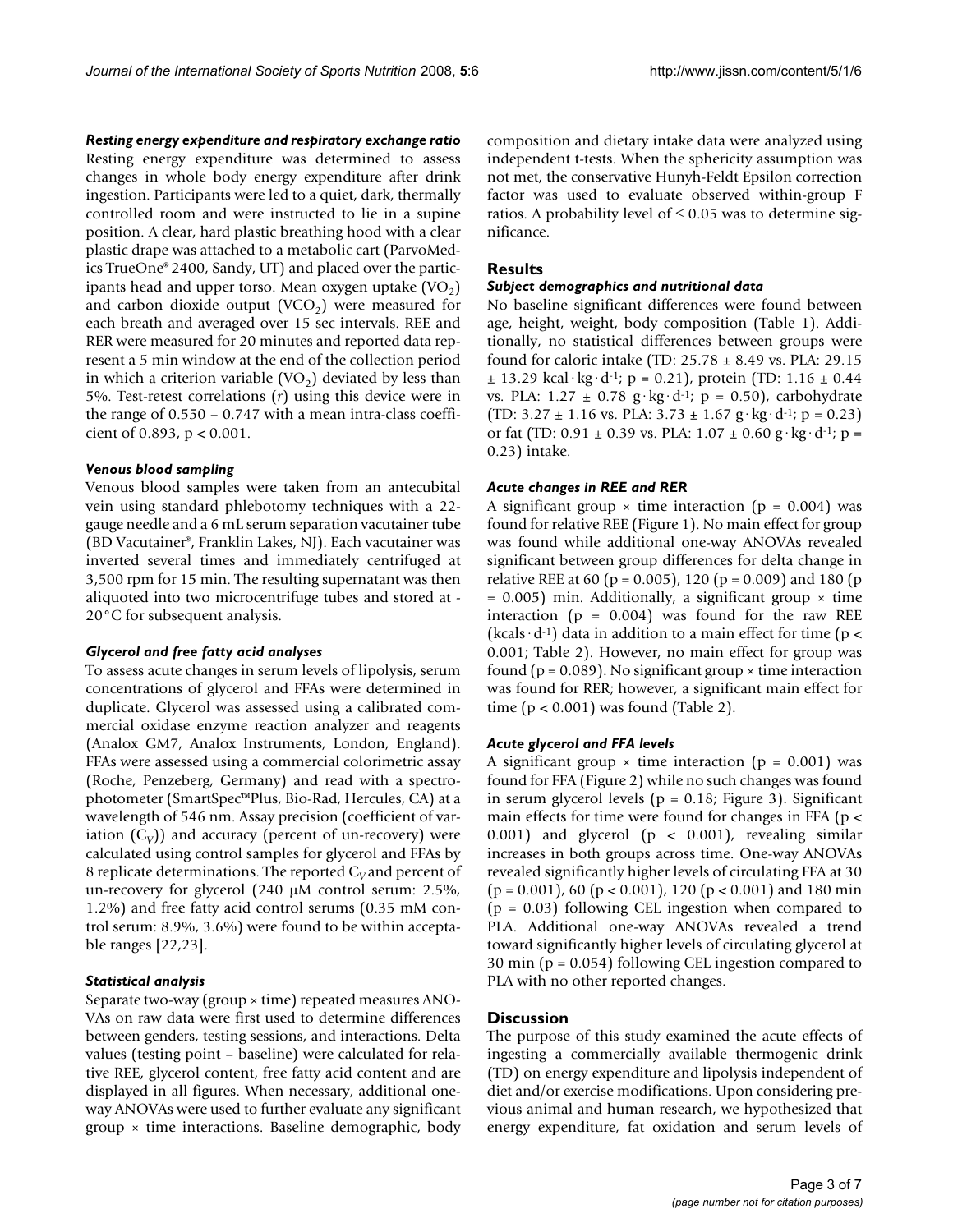#### *Resting energy expenditure and respiratory exchange ratio*

Resting energy expenditure was determined to assess changes in whole body energy expenditure after drink ingestion. Participants were led to a quiet, dark, thermally controlled room and were instructed to lie in a supine position. A clear, hard plastic breathing hood with a clear plastic drape was attached to a metabolic cart (ParvoMedics TrueOne® 2400, Sandy, UT) and placed over the participants head and upper torso. Mean oxygen uptake  $(VO<sub>2</sub>)$ and carbon dioxide output  $(VCO<sub>2</sub>)$  were measured for each breath and averaged over 15 sec intervals. REE and RER were measured for 20 minutes and reported data represent a 5 min window at the end of the collection period in which a criterion variable  $(VO<sub>2</sub>)$  deviated by less than 5%. Test-retest correlations (*r*) using this device were in the range of 0.550 – 0.747 with a mean intra-class coefficient of 0.893,  $p < 0.001$ .

#### *Venous blood sampling*

Venous blood samples were taken from an antecubital vein using standard phlebotomy techniques with a 22 gauge needle and a 6 mL serum separation vacutainer tube (BD Vacutainer®, Franklin Lakes, NJ). Each vacutainer was inverted several times and immediately centrifuged at 3,500 rpm for 15 min. The resulting supernatant was then aliquoted into two microcentrifuge tubes and stored at - 20°C for subsequent analysis.

#### *Glycerol and free fatty acid analyses*

To assess acute changes in serum levels of lipolysis, serum concentrations of glycerol and FFAs were determined in duplicate. Glycerol was assessed using a calibrated commercial oxidase enzyme reaction analyzer and reagents (Analox GM7, Analox Instruments, London, England). FFAs were assessed using a commercial colorimetric assay (Roche, Penzeberg, Germany) and read with a spectrophotometer (SmartSpec™Plus, Bio-Rad, Hercules, CA) at a wavelength of 546 nm. Assay precision (coefficient of variation  $(C_V)$ ) and accuracy (percent of un-recovery) were calculated using control samples for glycerol and FFAs by 8 replicate determinations. The reported C*V* and percent of un-recovery for glycerol (240 μM control serum: 2.5%, 1.2%) and free fatty acid control serums (0.35 mM control serum: 8.9%, 3.6%) were found to be within acceptable ranges [22,23].

#### *Statistical analysis*

Separate two-way (group × time) repeated measures ANO-VAs on raw data were first used to determine differences between genders, testing sessions, and interactions. Delta values (testing point – baseline) were calculated for relative REE, glycerol content, free fatty acid content and are displayed in all figures. When necessary, additional oneway ANOVAs were used to further evaluate any significant group  $\times$  time interactions. Baseline demographic, body composition and dietary intake data were analyzed using independent t-tests. When the sphericity assumption was not met, the conservative Hunyh-Feldt Epsilon correction factor was used to evaluate observed within-group F ratios. A probability level of  $\leq 0.05$  was to determine significance.

#### **Results**

#### *Subject demographics and nutritional data*

No baseline significant differences were found between age, height, weight, body composition (Table 1). Additionally, no statistical differences between groups were found for caloric intake (TD:  $25.78 \pm 8.49$  vs. PLA: 29.15  $\pm$  13.29 kcal·kg·d<sup>-1</sup>; p = 0.21), protein (TD: 1.16  $\pm$  0.44 vs. PLA:  $1.27 \pm 0.78$  g·kg·d<sup>-1</sup>; p = 0.50), carbohydrate (TD:  $3.27 \pm 1.16$  vs. PLA:  $3.73 \pm 1.67$  g·kg·d<sup>-1</sup>; p = 0.23) or fat (TD:  $0.91 \pm 0.39$  vs. PLA:  $1.07 \pm 0.60$  g·kg·d<sup>-1</sup>; p = 0.23) intake.

#### *Acute changes in REE and RER*

A significant group  $\times$  time interaction (p = 0.004) was found for relative REE (Figure 1). No main effect for group was found while additional one-way ANOVAs revealed significant between group differences for delta change in relative REE at 60 (p = 0.005), 120 (p = 0.009) and 180 (p  $= 0.005$ ) min. Additionally, a significant group  $\times$  time interaction ( $p = 0.004$ ) was found for the raw REE (kcals  $\cdot$  d<sup>-1</sup>) data in addition to a main effect for time (p < 0.001; Table 2). However, no main effect for group was found ( $p = 0.089$ ). No significant group  $\times$  time interaction was found for RER; however, a significant main effect for time ( $p < 0.001$ ) was found (Table 2).

#### *Acute glycerol and FFA levels*

A significant group  $\times$  time interaction (p = 0.001) was found for FFA (Figure 2) while no such changes was found in serum glycerol levels ( $p = 0.18$ ; Figure 3). Significant main effects for time were found for changes in FFA ( $p <$ 0.001) and glycerol (p < 0.001), revealing similar increases in both groups across time. One-way ANOVAs revealed significantly higher levels of circulating FFA at 30  $(p = 0.001)$ , 60  $(p < 0.001)$ , 120  $(p < 0.001)$  and 180 min  $(p = 0.03)$  following CEL ingestion when compared to PLA. Additional one-way ANOVAs revealed a trend toward significantly higher levels of circulating glycerol at 30 min (p = 0.054) following CEL ingestion compared to PLA with no other reported changes.

#### **Discussion**

The purpose of this study examined the acute effects of ingesting a commercially available thermogenic drink (TD) on energy expenditure and lipolysis independent of diet and/or exercise modifications. Upon considering previous animal and human research, we hypothesized that energy expenditure, fat oxidation and serum levels of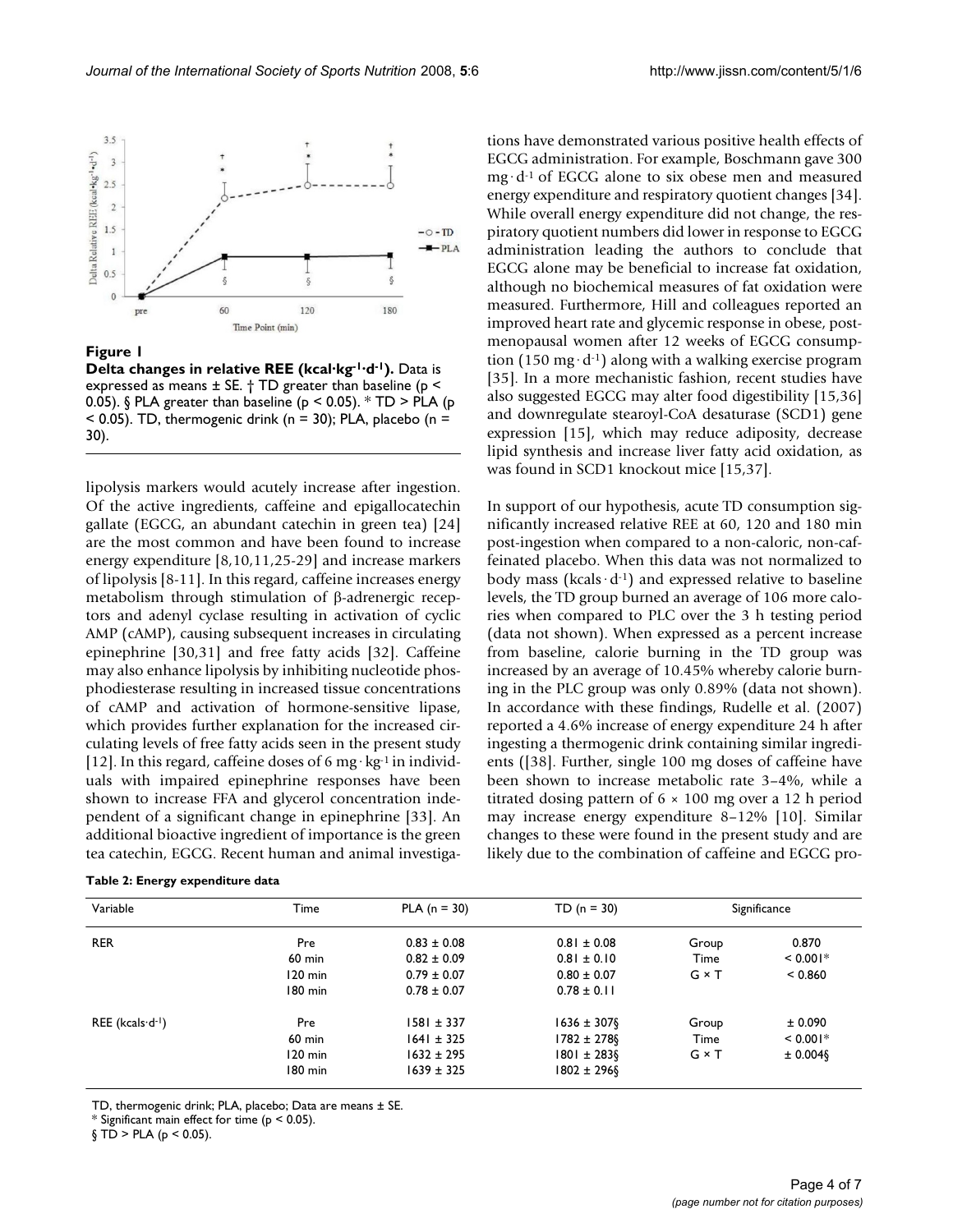

**Figure I Delta changes in relative REE (kcal·kg-1·d-1).** Data is expressed as means ± SE. † TD greater than baseline (p < 0.05). § PLA greater than baseline ( $p < 0.05$ ).  $*$  TD > PLA ( $p$  $<$  0.05). TD, thermogenic drink (n = 30); PLA, placebo (n = 30).

lipolysis markers would acutely increase after ingestion. Of the active ingredients, caffeine and epigallocatechin gallate (EGCG, an abundant catechin in green tea) [24] are the most common and have been found to increase energy expenditure [8,10,11,25-29] and increase markers of lipolysis [8-11]. In this regard, caffeine increases energy metabolism through stimulation of β-adrenergic receptors and adenyl cyclase resulting in activation of cyclic AMP (cAMP), causing subsequent increases in circulating epinephrine [30,31] and free fatty acids [32]. Caffeine may also enhance lipolysis by inhibiting nucleotide phosphodiesterase resulting in increased tissue concentrations of cAMP and activation of hormone-sensitive lipase, which provides further explanation for the increased circulating levels of free fatty acids seen in the present study [12]. In this regard, caffeine doses of 6 mg·kg<sup>-1</sup> in individuals with impaired epinephrine responses have been shown to increase FFA and glycerol concentration independent of a significant change in epinephrine [33]. An additional bioactive ingredient of importance is the green tea catechin, EGCG. Recent human and animal investiga-

|  |  |  | Table 2: Energy expenditure data |  |
|--|--|--|----------------------------------|--|
|--|--|--|----------------------------------|--|

tions have demonstrated various positive health effects of EGCG administration. For example, Boschmann gave 300 mg·d-1 of EGCG alone to six obese men and measured energy expenditure and respiratory quotient changes [34]. While overall energy expenditure did not change, the respiratory quotient numbers did lower in response to EGCG administration leading the authors to conclude that EGCG alone may be beneficial to increase fat oxidation, although no biochemical measures of fat oxidation were measured. Furthermore, Hill and colleagues reported an improved heart rate and glycemic response in obese, postmenopausal women after 12 weeks of EGCG consumption (150 mg $\cdot$ d<sup>-1</sup>) along with a walking exercise program [35]. In a more mechanistic fashion, recent studies have also suggested EGCG may alter food digestibility [15,36] and downregulate stearoyl-CoA desaturase (SCD1) gene expression [15], which may reduce adiposity, decrease lipid synthesis and increase liver fatty acid oxidation, as was found in SCD1 knockout mice [15,37].

In support of our hypothesis, acute TD consumption significantly increased relative REE at 60, 120 and 180 min post-ingestion when compared to a non-caloric, non-caffeinated placebo. When this data was not normalized to body mass (kcals $\cdot$  d<sup>-1</sup>) and expressed relative to baseline levels, the TD group burned an average of 106 more calories when compared to PLC over the 3 h testing period (data not shown). When expressed as a percent increase from baseline, calorie burning in the TD group was increased by an average of 10.45% whereby calorie burning in the PLC group was only 0.89% (data not shown). In accordance with these findings, Rudelle et al. (2007) reported a 4.6% increase of energy expenditure 24 h after ingesting a thermogenic drink containing similar ingredients ([38]. Further, single 100 mg doses of caffeine have been shown to increase metabolic rate 3–4%, while a titrated dosing pattern of  $6 \times 100$  mg over a 12 h period may increase energy expenditure 8–12% [10]. Similar changes to these were found in the present study and are likely due to the combination of caffeine and EGCG pro-

| Variable<br><b>RER</b> | Time<br>Pre | $PLA (n = 30)$<br>$0.83 \pm 0.08$ | TD ( $n = 30$ )<br>$0.81 \pm 0.08$ | Significance |             |
|------------------------|-------------|-----------------------------------|------------------------------------|--------------|-------------|
|                        |             |                                   |                                    | Group        | 0.870       |
|                        | $60$ min    | $0.82 \pm 0.09$                   | $0.81 \pm 0.10$                    | Time         | $< 0.001*$  |
|                        | $120$ min   | $0.79 \pm 0.07$                   | $0.80 \pm 0.07$                    | $G \times T$ | < 0.860     |
|                        | 180 min     | $0.78 \pm 0.07$                   | $0.78 \pm 0.11$                    |              |             |
| $REE (kcals·d-1)$      | Pre         | $1581 \pm 337$                    | $1636 \pm 307$                     | Group        | ± 0.090     |
|                        | $60$ min    | $1641 \pm 325$                    | $1782 \pm 278$                     | Time         | $< 0.001*$  |
|                        | $120$ min   | $1632 \pm 295$                    | $1801 \pm 283$                     | $G \times T$ | $± 0.004$ § |
|                        | 180 min     | $1639 \pm 325$                    | $1802 \pm 296$                     |              |             |

TD, thermogenic drink; PLA, placebo; Data are means ± SE.

 $*$  Significant main effect for time ( $p < 0.05$ ).

 $\S$  TD > PLA (p < 0.05).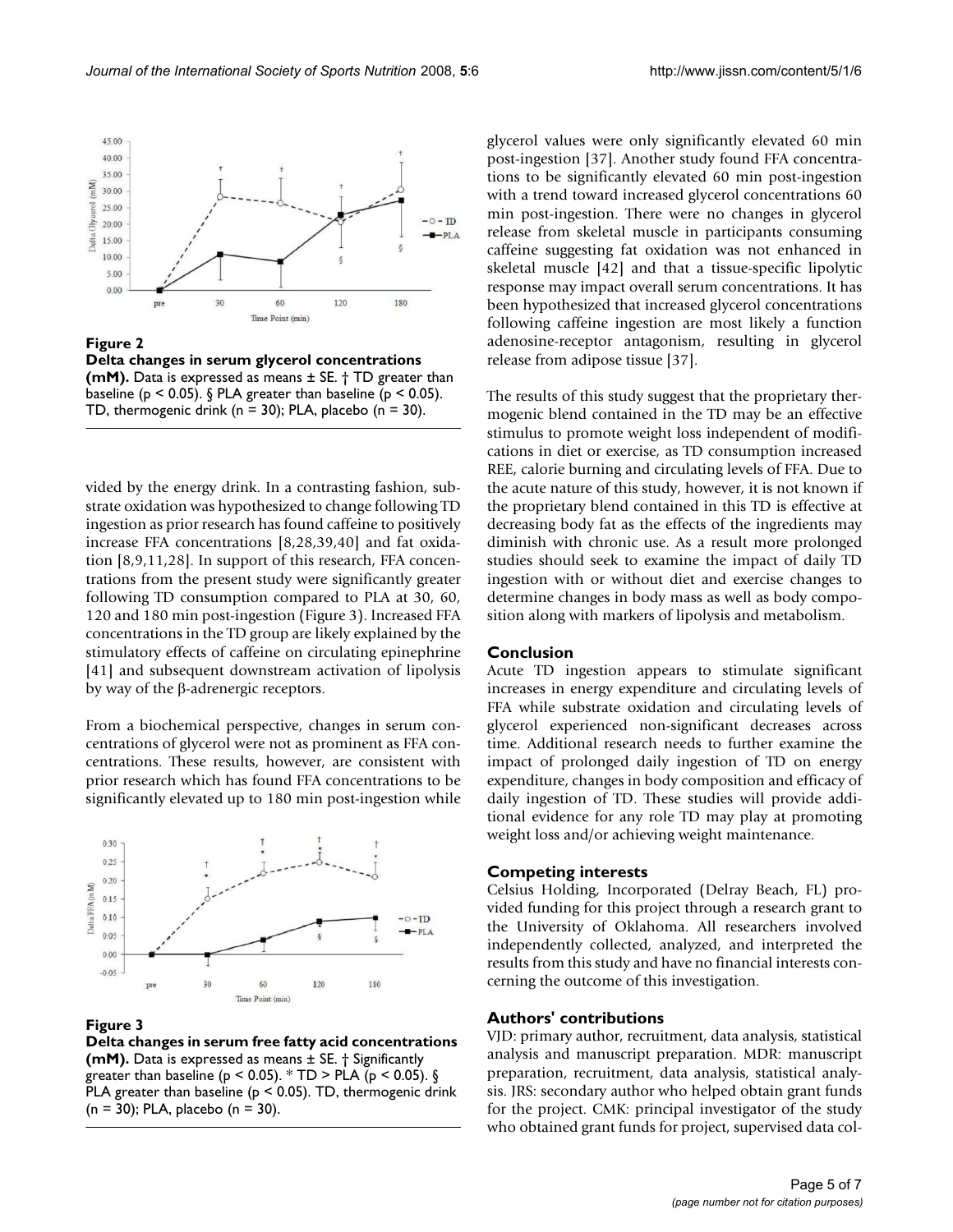

**Figure 2 Delta changes in serum glycerol concentrations (mM).** Data is expressed as means ± SE. † TD greater than baseline ( $p < 0.05$ ). § PLA greater than baseline ( $p < 0.05$ ). TD, thermogenic drink ( $n = 30$ ); PLA, placebo ( $n = 30$ ).

vided by the energy drink. In a contrasting fashion, substrate oxidation was hypothesized to change following TD ingestion as prior research has found caffeine to positively increase FFA concentrations [8,28,39,40] and fat oxidation [8,9,11,28]. In support of this research, FFA concentrations from the present study were significantly greater following TD consumption compared to PLA at 30, 60, 120 and 180 min post-ingestion (Figure 3). Increased FFA concentrations in the TD group are likely explained by the stimulatory effects of caffeine on circulating epinephrine [41] and subsequent downstream activation of lipolysis by way of the β-adrenergic receptors.

From a biochemical perspective, changes in serum concentrations of glycerol were not as prominent as FFA concentrations. These results, however, are consistent with prior research which has found FFA concentrations to be significantly elevated up to 180 min post-ingestion while



#### **Figure 3**

**Delta changes in serum free fatty acid concentrations (mM).** Data is expressed as means ± SE. † Significantly greater than baseline ( $p < 0.05$ ).  $*$  TD > PLA ( $p < 0.05$ ). § PLA greater than baseline ( $p < 0.05$ ). TD, thermogenic drink (n = 30); PLA, placebo (n = 30).

glycerol values were only significantly elevated 60 min post-ingestion [37]. Another study found FFA concentrations to be significantly elevated 60 min post-ingestion with a trend toward increased glycerol concentrations 60 min post-ingestion. There were no changes in glycerol release from skeletal muscle in participants consuming caffeine suggesting fat oxidation was not enhanced in skeletal muscle [42] and that a tissue-specific lipolytic response may impact overall serum concentrations. It has been hypothesized that increased glycerol concentrations following caffeine ingestion are most likely a function adenosine-receptor antagonism, resulting in glycerol release from adipose tissue [37].

The results of this study suggest that the proprietary thermogenic blend contained in the TD may be an effective stimulus to promote weight loss independent of modifications in diet or exercise, as TD consumption increased REE, calorie burning and circulating levels of FFA. Due to the acute nature of this study, however, it is not known if the proprietary blend contained in this TD is effective at decreasing body fat as the effects of the ingredients may diminish with chronic use. As a result more prolonged studies should seek to examine the impact of daily TD ingestion with or without diet and exercise changes to determine changes in body mass as well as body composition along with markers of lipolysis and metabolism.

#### **Conclusion**

Acute TD ingestion appears to stimulate significant increases in energy expenditure and circulating levels of FFA while substrate oxidation and circulating levels of glycerol experienced non-significant decreases across time. Additional research needs to further examine the impact of prolonged daily ingestion of TD on energy expenditure, changes in body composition and efficacy of daily ingestion of TD. These studies will provide additional evidence for any role TD may play at promoting weight loss and/or achieving weight maintenance.

#### **Competing interests**

Celsius Holding, Incorporated (Delray Beach, FL) provided funding for this project through a research grant to the University of Oklahoma. All researchers involved independently collected, analyzed, and interpreted the results from this study and have no financial interests concerning the outcome of this investigation.

#### **Authors' contributions**

VJD: primary author, recruitment, data analysis, statistical analysis and manuscript preparation. MDR: manuscript preparation, recruitment, data analysis, statistical analysis. JRS: secondary author who helped obtain grant funds for the project. CMK: principal investigator of the study who obtained grant funds for project, supervised data col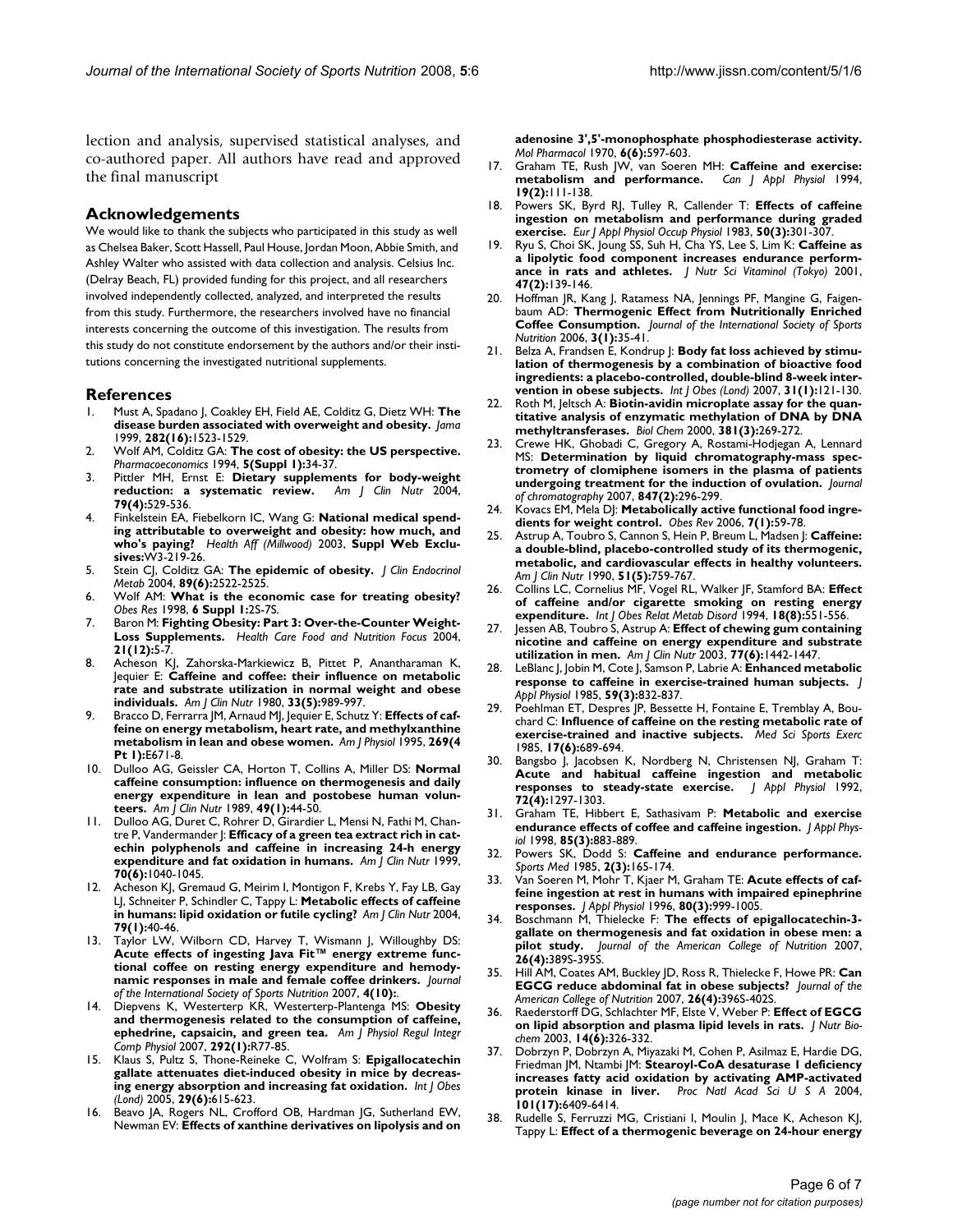lection and analysis, supervised statistical analyses, and co-authored paper. All authors have read and approved the final manuscript

#### **Acknowledgements**

We would like to thank the subjects who participated in this study as well as Chelsea Baker, Scott Hassell, Paul House, Jordan Moon, Abbie Smith, and Ashley Walter who assisted with data collection and analysis. Celsius Inc. (Delray Beach, FL) provided funding for this project, and all researchers involved independently collected, analyzed, and interpreted the results from this study. Furthermore, the researchers involved have no financial interests concerning the outcome of this investigation. The results from this study do not constitute endorsement by the authors and/or their institutions concerning the investigated nutritional supplements.

#### **References**

- 1. Must A, Spadano J, Coakley EH, Field AE, Colditz G, Dietz WH: **[The](http://www.ncbi.nlm.nih.gov/entrez/query.fcgi?cmd=Retrieve&db=PubMed&dopt=Abstract&list_uids=10546691) [disease burden associated with overweight and obesity.](http://www.ncbi.nlm.nih.gov/entrez/query.fcgi?cmd=Retrieve&db=PubMed&dopt=Abstract&list_uids=10546691)** *Jama* 1999, **282(16):**1523-1529.
- 2. Wolf AM, Colditz GA: **[The cost of obesity: the US perspective.](http://www.ncbi.nlm.nih.gov/entrez/query.fcgi?cmd=Retrieve&db=PubMed&dopt=Abstract&list_uids=10147247)** *Pharmacoeconomics* 1994, **5(Suppl 1):**34-37.
- 3. Pittler MH, Ernst E: **[Dietary supplements for body-weight](http://www.ncbi.nlm.nih.gov/entrez/query.fcgi?cmd=Retrieve&db=PubMed&dopt=Abstract&list_uids=15051593)** [reduction: a systematic review.](http://www.ncbi.nlm.nih.gov/entrez/query.fcgi?cmd=Retrieve&db=PubMed&dopt=Abstract&list_uids=15051593) **79(4):**529-536.
- 4. Finkelstein EA, Fiebelkorn IC, Wang G: **[National medical spend](http://www.ncbi.nlm.nih.gov/entrez/query.fcgi?cmd=Retrieve&db=PubMed&dopt=Abstract&list_uids=14527256)[ing attributable to overweight and obesity: how much, and](http://www.ncbi.nlm.nih.gov/entrez/query.fcgi?cmd=Retrieve&db=PubMed&dopt=Abstract&list_uids=14527256) [who's paying?](http://www.ncbi.nlm.nih.gov/entrez/query.fcgi?cmd=Retrieve&db=PubMed&dopt=Abstract&list_uids=14527256)** *Health Aff (Millwood)* 2003, **Suppl Web Exclusives:**W3-219-26.
- 5. Stein CJ, Colditz GA: **[The epidemic of obesity.](http://www.ncbi.nlm.nih.gov/entrez/query.fcgi?cmd=Retrieve&db=PubMed&dopt=Abstract&list_uids=15181019)** *J Clin Endocrinol Metab* 2004, **89(6):**2522-2525.
- 6. Wolf AM: **[What is the economic case for treating obesity?](http://www.ncbi.nlm.nih.gov/entrez/query.fcgi?cmd=Retrieve&db=PubMed&dopt=Abstract&list_uids=9569170)** *Obes Res* 1998, **6 Suppl 1:**2S-7S.
- 7. Baron M: **Fighting Obesity: Part 3: Over-the-Counter Weight-Loss Supplements.** *Health Care Food and Nutrition Focus* 2004, **21(12):**5-7.
- Acheson KJ, Zahorska-Markiewicz B, Pittet P, Anantharaman K, Jequier E: **[Caffeine and coffee: their influence on metabolic](http://www.ncbi.nlm.nih.gov/entrez/query.fcgi?cmd=Retrieve&db=PubMed&dopt=Abstract&list_uids=7369170) [rate and substrate utilization in normal weight and obese](http://www.ncbi.nlm.nih.gov/entrez/query.fcgi?cmd=Retrieve&db=PubMed&dopt=Abstract&list_uids=7369170) [individuals.](http://www.ncbi.nlm.nih.gov/entrez/query.fcgi?cmd=Retrieve&db=PubMed&dopt=Abstract&list_uids=7369170)** *Am J Clin Nutr* 1980, **33(5):**989-997.
- 9. Bracco D, Ferrarra JM, Arnaud MJ, Jequier E, Schutz Y: **[Effects of caf](http://www.ncbi.nlm.nih.gov/entrez/query.fcgi?cmd=Retrieve&db=PubMed&dopt=Abstract&list_uids=7485480)[feine on energy metabolism, heart rate, and methylxanthine](http://www.ncbi.nlm.nih.gov/entrez/query.fcgi?cmd=Retrieve&db=PubMed&dopt=Abstract&list_uids=7485480) [metabolism in lean and obese women.](http://www.ncbi.nlm.nih.gov/entrez/query.fcgi?cmd=Retrieve&db=PubMed&dopt=Abstract&list_uids=7485480)** *Am J Physiol* 1995, **269(4 Pt 1):**E671-8.
- 10. Dulloo AG, Geissler CA, Horton T, Collins A, Miller DS: **[Normal](http://www.ncbi.nlm.nih.gov/entrez/query.fcgi?cmd=Retrieve&db=PubMed&dopt=Abstract&list_uids=2912010) [caffeine consumption: influence on thermogenesis and daily](http://www.ncbi.nlm.nih.gov/entrez/query.fcgi?cmd=Retrieve&db=PubMed&dopt=Abstract&list_uids=2912010) energy expenditure in lean and postobese human volun[teers.](http://www.ncbi.nlm.nih.gov/entrez/query.fcgi?cmd=Retrieve&db=PubMed&dopt=Abstract&list_uids=2912010)** *Am J Clin Nutr* 1989, **49(1):**44-50.
- 11. Dulloo AG, Duret C, Rohrer D, Girardier L, Mensi N, Fathi M, Chantre P, Vandermander J: **[Efficacy of a green tea extract rich in cat](http://www.ncbi.nlm.nih.gov/entrez/query.fcgi?cmd=Retrieve&db=PubMed&dopt=Abstract&list_uids=10584049)[echin polyphenols and caffeine in increasing 24-h energy](http://www.ncbi.nlm.nih.gov/entrez/query.fcgi?cmd=Retrieve&db=PubMed&dopt=Abstract&list_uids=10584049) [expenditure and fat oxidation in humans.](http://www.ncbi.nlm.nih.gov/entrez/query.fcgi?cmd=Retrieve&db=PubMed&dopt=Abstract&list_uids=10584049)** *Am J Clin Nutr* 1999, **70(6):**1040-1045.
- 12. Acheson KJ, Gremaud G, Meirim I, Montigon F, Krebs Y, Fay LB, Gay LJ, Schneiter P, Schindler C, Tappy L: **[Metabolic effects of caffeine](http://www.ncbi.nlm.nih.gov/entrez/query.fcgi?cmd=Retrieve&db=PubMed&dopt=Abstract&list_uids=14684395) [in humans: lipid oxidation or futile cycling?](http://www.ncbi.nlm.nih.gov/entrez/query.fcgi?cmd=Retrieve&db=PubMed&dopt=Abstract&list_uids=14684395)** *Am J Clin Nutr* 2004, **79(1):**40-46.
- 13. Taylor LW, Wilborn CD, Harvey T, Wismann J, Willoughby DS: **[Acute effects of ingesting Java Fit™ energy extreme func](http://www.ncbi.nlm.nih.gov/entrez/query.fcgi?cmd=Retrieve&db=PubMed&dopt=Abstract&list_uids=17919327)tional coffee on resting energy expenditure and hemody[namic responses in male and female coffee drinkers.](http://www.ncbi.nlm.nih.gov/entrez/query.fcgi?cmd=Retrieve&db=PubMed&dopt=Abstract&list_uids=17919327)** *Journal of the International Society of Sports Nutrition* 2007, **4(10):**.
- 14. Diepvens K, Westerterp KR, Westerterp-Plantenga MS: **[Obesity](http://www.ncbi.nlm.nih.gov/entrez/query.fcgi?cmd=Retrieve&db=PubMed&dopt=Abstract&list_uids=16840650) [and thermogenesis related to the consumption of caffeine,](http://www.ncbi.nlm.nih.gov/entrez/query.fcgi?cmd=Retrieve&db=PubMed&dopt=Abstract&list_uids=16840650) [ephedrine, capsaicin, and green tea.](http://www.ncbi.nlm.nih.gov/entrez/query.fcgi?cmd=Retrieve&db=PubMed&dopt=Abstract&list_uids=16840650)** *Am J Physiol Regul Integr Comp Physiol* 2007, **292(1):**R77-85.
- 15. Klaus S, Pultz S, Thone-Reineke C, Wolfram S: **[Epigallocatechin](http://www.ncbi.nlm.nih.gov/entrez/query.fcgi?cmd=Retrieve&db=PubMed&dopt=Abstract&list_uids=15738931) [gallate attenuates diet-induced obesity in mice by decreas](http://www.ncbi.nlm.nih.gov/entrez/query.fcgi?cmd=Retrieve&db=PubMed&dopt=Abstract&list_uids=15738931)[ing energy absorption and increasing fat oxidation.](http://www.ncbi.nlm.nih.gov/entrez/query.fcgi?cmd=Retrieve&db=PubMed&dopt=Abstract&list_uids=15738931)** *Int J Obes (Lond)* 2005, **29(6):**615-623.
- Beavo JA, Rogers NL, Crofford OB, Hardman JG, Sutherland EW, Newman EV: **[Effects of xanthine derivatives on lipolysis and on](http://www.ncbi.nlm.nih.gov/entrez/query.fcgi?cmd=Retrieve&db=PubMed&dopt=Abstract&list_uids=4322367)**

**[adenosine 3',5'-monophosphate phosphodiesterase activity.](http://www.ncbi.nlm.nih.gov/entrez/query.fcgi?cmd=Retrieve&db=PubMed&dopt=Abstract&list_uids=4322367)** *Mol Pharmacol* 1970, **6(6):**597-603.

- 17. Graham TE, Rush JW, van Soeren MH: **[Caffeine and exercise:](http://www.ncbi.nlm.nih.gov/entrez/query.fcgi?cmd=Retrieve&db=PubMed&dopt=Abstract&list_uids=8081318) [metabolism and performance.](http://www.ncbi.nlm.nih.gov/entrez/query.fcgi?cmd=Retrieve&db=PubMed&dopt=Abstract&list_uids=8081318)** *Can J Appl Physiol* 1994, **19(2):**111-138.
- 18. Powers SK, Byrd RJ, Tulley R, Callender T: **[Effects of caffeine](http://www.ncbi.nlm.nih.gov/entrez/query.fcgi?cmd=Retrieve&db=PubMed&dopt=Abstract&list_uids=6683154) [ingestion on metabolism and performance during graded](http://www.ncbi.nlm.nih.gov/entrez/query.fcgi?cmd=Retrieve&db=PubMed&dopt=Abstract&list_uids=6683154) [exercise.](http://www.ncbi.nlm.nih.gov/entrez/query.fcgi?cmd=Retrieve&db=PubMed&dopt=Abstract&list_uids=6683154)** *Eur J Appl Physiol Occup Physiol* 1983, **50(3):**301-307.
- 19. Ryu S, Choi SK, Joung SS, Suh H, Cha YS, Lee S, Lim K: **[Caffeine as](http://www.ncbi.nlm.nih.gov/entrez/query.fcgi?cmd=Retrieve&db=PubMed&dopt=Abstract&list_uids=11508705) [a lipolytic food component increases endurance perform](http://www.ncbi.nlm.nih.gov/entrez/query.fcgi?cmd=Retrieve&db=PubMed&dopt=Abstract&list_uids=11508705)[ance in rats and athletes.](http://www.ncbi.nlm.nih.gov/entrez/query.fcgi?cmd=Retrieve&db=PubMed&dopt=Abstract&list_uids=11508705)** *J Nutr Sci Vitaminol (Tokyo)* 2001, **47(2):**139-146.
- 20. Hoffman JR, Kang J, Ratamess NA, Jennings PF, Mangine G, Faigenbaum AD: **Thermogenic Effect from Nutritionally Enriched Coffee Consumption.** *Journal of the International Society of Sports Nutrition* 2006, **3(1):**35-41.
- Belza A, Frandsen E, Kondrup J: [Body fat loss achieved by stimu](http://www.ncbi.nlm.nih.gov/entrez/query.fcgi?cmd=Retrieve&db=PubMed&dopt=Abstract&list_uids=16652130)**[lation of thermogenesis by a combination of bioactive food](http://www.ncbi.nlm.nih.gov/entrez/query.fcgi?cmd=Retrieve&db=PubMed&dopt=Abstract&list_uids=16652130) ingredients: a placebo-controlled, double-blind 8-week inter[vention in obese subjects.](http://www.ncbi.nlm.nih.gov/entrez/query.fcgi?cmd=Retrieve&db=PubMed&dopt=Abstract&list_uids=16652130)** *Int J Obes (Lond)* 2007, **31(1):**121-130.
- 22. Roth M, Jeltsch A: **[Biotin-avidin microplate assay for the quan](http://www.ncbi.nlm.nih.gov/entrez/query.fcgi?cmd=Retrieve&db=PubMed&dopt=Abstract&list_uids=10782999)[titative analysis of enzymatic methylation of DNA by DNA](http://www.ncbi.nlm.nih.gov/entrez/query.fcgi?cmd=Retrieve&db=PubMed&dopt=Abstract&list_uids=10782999) [methyltransferases.](http://www.ncbi.nlm.nih.gov/entrez/query.fcgi?cmd=Retrieve&db=PubMed&dopt=Abstract&list_uids=10782999)** *Biol Chem* 2000, **381(3):**269-272.
- 23. Crewe HK, Ghobadi C, Gregory A, Rostami-Hodjegan A, Lennard MS: **[Determination by liquid chromatography-mass spec](http://www.ncbi.nlm.nih.gov/entrez/query.fcgi?cmd=Retrieve&db=PubMed&dopt=Abstract&list_uids=17085084)[trometry of clomiphene isomers in the plasma of patients](http://www.ncbi.nlm.nih.gov/entrez/query.fcgi?cmd=Retrieve&db=PubMed&dopt=Abstract&list_uids=17085084) [undergoing treatment for the induction of ovulation.](http://www.ncbi.nlm.nih.gov/entrez/query.fcgi?cmd=Retrieve&db=PubMed&dopt=Abstract&list_uids=17085084)** *Journal of chromatography* 2007, **847(2):**296-299.
- 24. Kovacs EM, Mela DJ: **[Metabolically active functional food ingre](http://www.ncbi.nlm.nih.gov/entrez/query.fcgi?cmd=Retrieve&db=PubMed&dopt=Abstract&list_uids=16436103)[dients for weight control.](http://www.ncbi.nlm.nih.gov/entrez/query.fcgi?cmd=Retrieve&db=PubMed&dopt=Abstract&list_uids=16436103)** *Obes Rev* 2006, **7(1):**59-78.
- 25. Astrup A, Toubro S, Cannon S, Hein P, Breum L, Madsen J: **[Caffeine:](http://www.ncbi.nlm.nih.gov/entrez/query.fcgi?cmd=Retrieve&db=PubMed&dopt=Abstract&list_uids=2333832) a double-blind, placebo-controlled study of its thermogenic, [metabolic, and cardiovascular effects in healthy volunteers.](http://www.ncbi.nlm.nih.gov/entrez/query.fcgi?cmd=Retrieve&db=PubMed&dopt=Abstract&list_uids=2333832)** *Am J Clin Nutr* 1990, **51(5):**759-767.
- 26. Collins LC, Cornelius MF, Vogel RL, Walker JF, Stamford BA: **[Effect](http://www.ncbi.nlm.nih.gov/entrez/query.fcgi?cmd=Retrieve&db=PubMed&dopt=Abstract&list_uids=7951476) [of caffeine and/or cigarette smoking on resting energy](http://www.ncbi.nlm.nih.gov/entrez/query.fcgi?cmd=Retrieve&db=PubMed&dopt=Abstract&list_uids=7951476) [expenditure.](http://www.ncbi.nlm.nih.gov/entrez/query.fcgi?cmd=Retrieve&db=PubMed&dopt=Abstract&list_uids=7951476)** *Int J Obes Relat Metab Disord* 1994, **18(8):**551-556.
- 27. Jessen AB, Toubro S, Astrup A: **[Effect of chewing gum containing](http://www.ncbi.nlm.nih.gov/entrez/query.fcgi?cmd=Retrieve&db=PubMed&dopt=Abstract&list_uids=12791621) [nicotine and caffeine on energy expenditure and substrate](http://www.ncbi.nlm.nih.gov/entrez/query.fcgi?cmd=Retrieve&db=PubMed&dopt=Abstract&list_uids=12791621) [utilization in men.](http://www.ncbi.nlm.nih.gov/entrez/query.fcgi?cmd=Retrieve&db=PubMed&dopt=Abstract&list_uids=12791621)** *Am J Clin Nutr* 2003, **77(6):**1442-1447.
- 28. LeBlanc J, Jobin M, Cote J, Samson P, Labrie A: **[Enhanced metabolic](http://www.ncbi.nlm.nih.gov/entrez/query.fcgi?cmd=Retrieve&db=PubMed&dopt=Abstract&list_uids=3902769) [response to caffeine in exercise-trained human subjects.](http://www.ncbi.nlm.nih.gov/entrez/query.fcgi?cmd=Retrieve&db=PubMed&dopt=Abstract&list_uids=3902769)** *J Appl Physiol* 1985, **59(3):**832-837.
- 29. Poehlman ET, Despres JP, Bessette H, Fontaine E, Tremblay A, Bouchard C: **[Influence of caffeine on the resting metabolic rate of](http://www.ncbi.nlm.nih.gov/entrez/query.fcgi?cmd=Retrieve&db=PubMed&dopt=Abstract&list_uids=4079741) [exercise-trained and inactive subjects.](http://www.ncbi.nlm.nih.gov/entrez/query.fcgi?cmd=Retrieve&db=PubMed&dopt=Abstract&list_uids=4079741)** *Med Sci Sports Exerc* 1985, **17(6):**689-694.
- 30. Bangsbo J, Jacobsen K, Nordberg N, Christensen NJ, Graham T: **[Acute and habitual caffeine ingestion and metabolic](http://www.ncbi.nlm.nih.gov/entrez/query.fcgi?cmd=Retrieve&db=PubMed&dopt=Abstract&list_uids=1592718) [responses to steady-state exercise.](http://www.ncbi.nlm.nih.gov/entrez/query.fcgi?cmd=Retrieve&db=PubMed&dopt=Abstract&list_uids=1592718)** *J Appl Physiol* 1992, **72(4):**1297-1303.
- 31. Graham TE, Hibbert E, Sathasivam P: **[Metabolic and exercise](http://www.ncbi.nlm.nih.gov/entrez/query.fcgi?cmd=Retrieve&db=PubMed&dopt=Abstract&list_uids=9729561) [endurance effects of coffee and caffeine ingestion.](http://www.ncbi.nlm.nih.gov/entrez/query.fcgi?cmd=Retrieve&db=PubMed&dopt=Abstract&list_uids=9729561)** *J Appl Physiol* 1998, **85(3):**883-889.
- 32. Powers SK, Dodd S: **[Caffeine and endurance performance.](http://www.ncbi.nlm.nih.gov/entrez/query.fcgi?cmd=Retrieve&db=PubMed&dopt=Abstract&list_uids=3892626)** *Sports Med* 1985, **2(3):**165-174.
- 33. Van Soeren M, Mohr T, Kjaer M, Graham TE: **[Acute effects of caf](http://www.ncbi.nlm.nih.gov/entrez/query.fcgi?cmd=Retrieve&db=PubMed&dopt=Abstract&list_uids=8964766)[feine ingestion at rest in humans with impaired epinephrine](http://www.ncbi.nlm.nih.gov/entrez/query.fcgi?cmd=Retrieve&db=PubMed&dopt=Abstract&list_uids=8964766) [responses.](http://www.ncbi.nlm.nih.gov/entrez/query.fcgi?cmd=Retrieve&db=PubMed&dopt=Abstract&list_uids=8964766)** *J Appl Physiol* 1996, **80(3):**999-1005.
- 34. Boschmann M, Thielecke F: **[The effects of epigallocatechin-3](http://www.ncbi.nlm.nih.gov/entrez/query.fcgi?cmd=Retrieve&db=PubMed&dopt=Abstract&list_uids=17906192) [gallate on thermogenesis and fat oxidation in obese men: a](http://www.ncbi.nlm.nih.gov/entrez/query.fcgi?cmd=Retrieve&db=PubMed&dopt=Abstract&list_uids=17906192) [pilot study.](http://www.ncbi.nlm.nih.gov/entrez/query.fcgi?cmd=Retrieve&db=PubMed&dopt=Abstract&list_uids=17906192)** *Journal of the American College of Nutrition* 2007, **26(4):**389S-395S.
- 35. Hill AM, Coates AM, Buckley JD, Ross R, Thielecke F, Howe PR: **[Can](http://www.ncbi.nlm.nih.gov/entrez/query.fcgi?cmd=Retrieve&db=PubMed&dopt=Abstract&list_uids=17906193) [EGCG reduce abdominal fat in obese subjects?](http://www.ncbi.nlm.nih.gov/entrez/query.fcgi?cmd=Retrieve&db=PubMed&dopt=Abstract&list_uids=17906193)** *Journal of the American College of Nutrition* 2007, **26(4):**396S-402S.
- 36. Raederstorff DG, Schlachter MF, Elste V, Weber P: **[Effect of EGCG](http://www.ncbi.nlm.nih.gov/entrez/query.fcgi?cmd=Retrieve&db=PubMed&dopt=Abstract&list_uids=12873714) [on lipid absorption and plasma lipid levels in rats.](http://www.ncbi.nlm.nih.gov/entrez/query.fcgi?cmd=Retrieve&db=PubMed&dopt=Abstract&list_uids=12873714)** *J Nutr Biochem* 2003, **14(6):**326-332.
- 37. Dobrzyn P, Dobrzyn A, Miyazaki M, Cohen P, Asilmaz E, Hardie DG, Friedman JM, Ntambi JM: **[Stearoyl-CoA desaturase 1 deficiency](http://www.ncbi.nlm.nih.gov/entrez/query.fcgi?cmd=Retrieve&db=PubMed&dopt=Abstract&list_uids=15096593) [increases fatty acid oxidation by activating AMP-activated](http://www.ncbi.nlm.nih.gov/entrez/query.fcgi?cmd=Retrieve&db=PubMed&dopt=Abstract&list_uids=15096593) [protein kinase in liver.](http://www.ncbi.nlm.nih.gov/entrez/query.fcgi?cmd=Retrieve&db=PubMed&dopt=Abstract&list_uids=15096593)** *Proc Natl Acad Sci U S A* 2004, **101(17):**6409-6414.
- 38. Rudelle S, Ferruzzi MG, Cristiani I, Moulin J, Mace K, Acheson KJ, Tappy L: **[Effect of a thermogenic beverage on 24-hour energy](http://www.ncbi.nlm.nih.gov/entrez/query.fcgi?cmd=Retrieve&db=PubMed&dopt=Abstract&list_uids=17299107)**